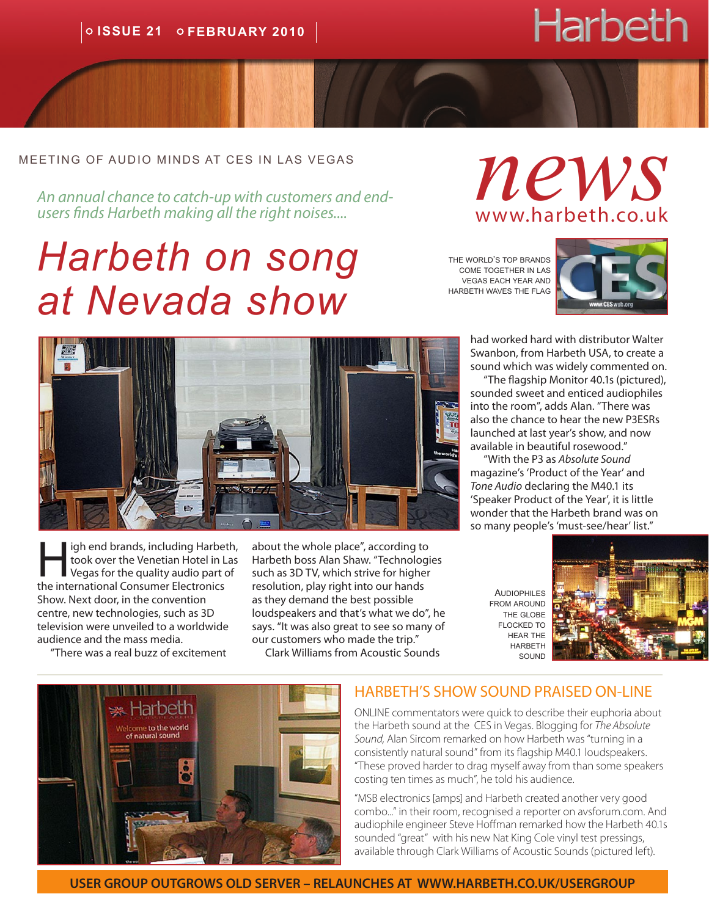# **Harbeth**

#### meeting of audio minds at ces in las vegas

*An annual chance to catch-up with customers and endusers finds Harbeth making all the right noises....*

## *Harbeth on song at Nevada show*

*news* www.harbeth.co.uk

the world's top brands come together in las vegas each year and harbeth waves the flag



had worked hard with distributor Walter Swanbon, from Harbeth USA, to create a sound which was widely commented on.

"The flagship Monitor 40.1s (pictured), sounded sweet and enticed audiophiles into the room", adds Alan. "There was also the chance to hear the new P3ESRs launched at last year's show, and now available in beautiful rosewood."

"With the P3 as *Absolute Sound* magazine's 'Product of the Year' and *Tone Audio* declaring the M40.1 its 'Speaker Product of the Year', it is little wonder that the Harbeth brand was on so many people's 'must-see/hear' list."

**AUDIOPHILES** from around the globe flocked to hear the **HARBETH** sound





igh end brands, including Harbeth, took over the Venetian Hotel in Las Vegas for the quality audio part of the international Consumer Electronics Show. Next door, in the convention centre, new technologies, such as 3D television were unveiled to a worldwide audience and the mass media.

"There was a real buzz of excitement

\*Harbeth come to the world of natural sound

about the whole place", according to Harbeth boss Alan Shaw. "Technologies such as 3D TV, which strive for higher resolution, play right into our hands as they demand the best possible loudspeakers and that's what we do", he says. "It was also great to see so many of our customers who made the trip."

Clark Williams from Acoustic Sounds



ONLINE commentators were quick to describe their euphoria about the Harbeth sound at the CES in Vegas. Blogging for *The Absolute Sound,* Alan Sircom remarked on how Harbeth was "turning in a consistently natural sound" from its flagship M40.1 loudspeakers. "These proved harder to drag myself away from than some speakers costing ten times as much", he told his audience.

"MSB electronics [amps] and Harbeth created another very good combo..." in their room, recognised a reporter on avsforum.com. And audiophile engineer Steve Hoffman remarked how the Harbeth 40.1s sounded "great" with his new Nat King Cole vinyl test pressings, available through Clark Williams of Acoustic Sounds (pictured left).